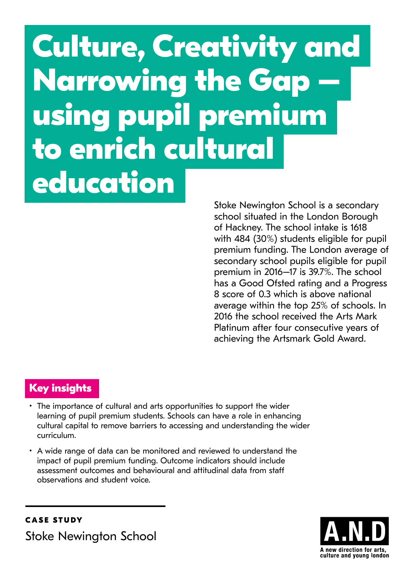# **Culture, Creativity and Narrowing the Gap – using pupil premium to enrich cultural education**

Stoke Newington School is a secondary school situated in the London Borough of Hackney. The school intake is 1618 with 484 (30%) students eligible for pupil premium funding. The London average of secondary school pupils eligible for pupil premium in 2016–17 is 39.7%. The school has a Good Ofsted rating and a Progress 8 score of 0.3 which is above national average within the top 25% of schools. In 2016 the school received the Arts Mark Platinum after four consecutive years of achieving the Artsmark Gold Award.

# **Key insights**

- The importance of cultural and arts opportunities to support the wider learning of pupil premium students. Schools can have a role in enhancing cultural capital to remove barriers to accessing and understanding the wider curriculum.
- A wide range of data can be monitored and reviewed to understand the impact of pupil premium funding. Outcome indicators should include assessment outcomes and behavioural and attitudinal data from staff observations and student voice.



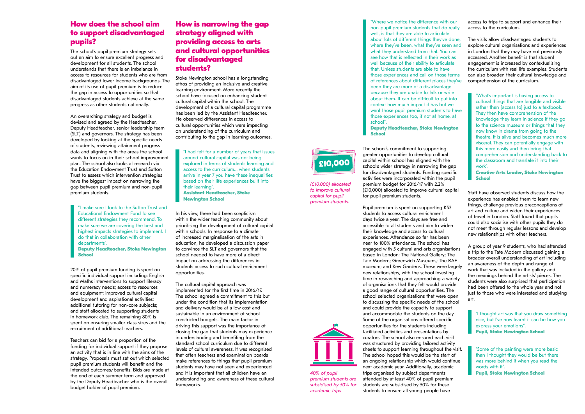#### **How does the school aim to support disadvantaged pupils?**

The school's pupil premium strategy sets out an aim to ensure excellent progress and development for all students. The school understands that there is an imbalance in access to resources for students who are from disadvantaged lower income backgrounds. The aim of its use of pupil premium is to reduce the gap in access to opportunities so that disadvantaged students achieve at the same progress as other students nationally.

An overarching strategy and budget is devised and agreed by the Headteacher, Deputy Headteacher, senior leadership team (SLT) and governors. The strategy has been developed by looking at the specific needs of students, reviewing attainment progress data and aligning with the areas the school wants to focus on in their school improvement plan. The school also looks at research via the Education Endowment Trust and Sutton Trust to assess which intervention strategies have the biggest impact on narrowing the gap between pupil premium and non-pupil premium students.

"I make sure I look to the Sutton Trust and Educational Endowment Fund to see different strategies they recommend. To make sure we are covering the best and highest impacts strategies to implement. I do that in collaboration with other departments". **Deputy Headteacher, Stoke Newington** 

**School**

20% of pupil premium funding is spent on specific individual support including: English and Maths interventions to support literacy and numeracy needs; access to resources and equipment: improved cultural capital development and aspirational activities; additional tutoring for non-core subjects; and staff allocated to supporting students in homework club. The remaining 80% is spent on ensuring smaller class sizes and the recruitment of additional teachers.

Teachers can bid for a proportion of the funding for individual support if they propose an activity that is in line with the aims of the strategy. Proposals must set out which selected pupil premium students will benefit and the intended outcomes/benefits. Bids are made at the end of each summer term and approved by the Deputy Headteacher who is the overall budget holder of pupil premium.

### **How is narrowing the gap strategy aligned with providing access to arts and cultural opportunities for disadvantaged students?**

Stoke Newington school has a longstanding ethos of providing an inclusive and creative learning environment. More recently the school have focused on enhancing student cultural capital within the school. The development of a cultural capital programme has been led by the Assistant Headteacher. He observed differences in access to cultural opportunities which were impacting on understanding of the curriculum and contributing to the gap in learning outcomes.

"I had felt for a number of years that issues around cultural capital was not being explored in terms of students learning and access to the curriculum… when students arrive in year 7 you have these inequalities based on their life experiences built into their learning".

**Assistant Headteacher, Stoke Newington School**

In his view, there had been scepticism within the wider teaching community about prioritising the development of cultural capital within schools. In response to a climate of increased marginalisation of the arts in education, he developed a discussion paper to convince the SLT and governors that the school needed to have more of a direct impact on addressing the differences in students access to such cultural enrichment opportunities.

The cultural capital approach was implemented for the first time in 2016/17. The school agreed a commitment to this but under the condition that its implementation and delivery would be at a low cost and sustainable in an environment of school constricted budgets. The main factor in driving this support was the importance of closing the gap that students may experience in understanding and benefiting from the standard school curriculum due to different levels of cultural awareness. It was recognised that often teachers and examination boards make references to things that pupil premium students may have not seen and experienced and it is important that all children have an understanding and awareness of these cultural frameworks.

"Where we notice the difference with our non-pupil premium students that do really well, is that they are able to articulate about lots of different things they've done, where they've been, what they've seen and what they understand from that. You can see how that is reflected in their work as well because of their ability to articulate that. Unless students are able to have those experiences and call on those terms of references about different places they've been they are more of a disadvantage because they are unable to talk or write about them. It can be difficult to put into context how much impact it has but we want those pupil premium students to have those experiences too, if not at home, at school". **Deputy Headteacher, Stoke Newington** 

**School**

The school's commitment to supporting greater opportunities to develop cultural capital within school has aligned with the school's wider strategy in narrowing the gap for disadvantaged students. Funding specific activities were incorporated within the pupil premium budget for 2016/17 with 2.2% (£10,000) allocated to improve cultural capital for pupil premium students.

Pupil premium is spent on supporting KS3 students to access cultural enrichment days twice a year. The days are free and accessible to all students and aim to widen their knowledge and access to cultural experiences. Attendance so far has been near to 100% attendance. The school has engaged with 5 cultural and arts organisations based in London: The National Gallery; The Tate Modern; Greenwich Museums; The RAF museum; and Kew Gardens. These were largely new relationships, with the school investing time in researching and approaching a variety of organisations that they felt would provide a good range of cultural opportunities. The school selected organisations that were open to discussing the specific needs of the school and could provide the capacity to support and accommodate the students on the day. Some of the organisations offered specific opportunities for the students including facilitated activities and presentations by curators. The school also ensured each visit was structured by providing tailored activity sheets to support learning throughout the visit. The school hoped this would be the start of an ongoing relationship which would continue next academic year. Additionally, academic trips organised by subject departments attended by at least 40% of pupil premium students are subsidised by 50% for these students to ensure all young people have



access to trips to support and enhance their access to the curriculum.

The visits allow disadvantaged students to explore cultural organisations and experiences in London that they may have not previously accessed. Another benefit is that student engagement is increased by contextualising the curriculum with real life examples. Students can also broaden their cultural knowledge and comprehension of the curriculum.

"What's important is having access to cultural things that are tangible and visible rather than [access to] just to a textbook. They then have comprehension of the knowledge they learn in science if they go to the science museum or things that they now know in drama from going to the theatre. It is alive and becomes much more visceral. They can potentially engage with this more easily and then bring that comprehension and understanding back to the classroom and translate it into their work".

**Creative Arts Leader, Stoke Newington School**

Staff have observed students discuss how the experience has enabled them to learn new things, challenge previous preconceptions of art and culture and widen their experiences of travel in London. Staff found that pupils could also socialise with other pupils they do not meet through regular lessons and develop new relationships with other teachers.

A group of year 9 students, who had attended a trip to the Tate Modern discussed gaining a broader overall understanding of art including an awareness of the depth and range of work that was included in the gallery and the meanings behind the artists' pieces. The students were also surprised that participation had been offered to the whole year and not just to those who were interested and studying art.

"I thought art was that you draw something nice, but I've now learnt it can be how you express your emotions". **Pupil, Stoke Newington School**

"Some of the painting were more basic than I thought they would be but there was more behind it when you read the words with it". **Pupil, Stoke Newington School**

*(£10,000) allocated to improve cultural capital for pupil premium students.* 



*40% of pupil premium students are subsidised by 50% for academic trips*